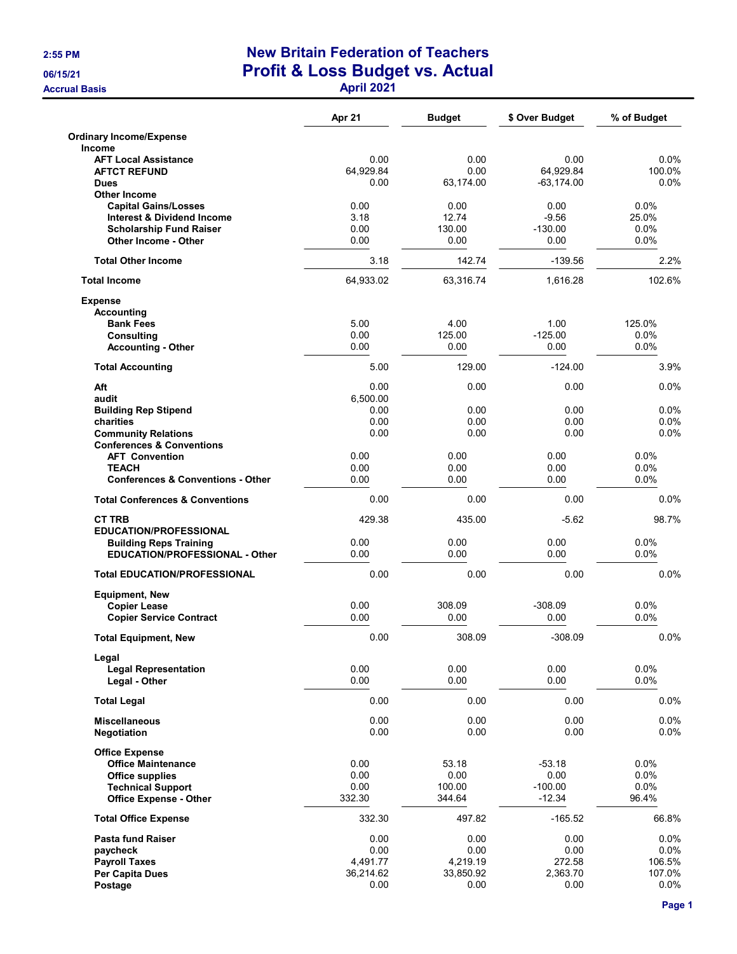## 2:55 PM New Britain Federation of Teachers 06/15/21 **Profit & Loss Budget vs. Actual** Accrual Basis Accrual Basis April 2021 and the United States April 2021

|                                                                         | Apr 21         | <b>Budget</b>    | \$ Over Budget        | % of Budget      |
|-------------------------------------------------------------------------|----------------|------------------|-----------------------|------------------|
| <b>Ordinary Income/Expense</b><br><b>Income</b>                         |                |                  |                       |                  |
| <b>AFT Local Assistance</b>                                             | 0.00           | 0.00             | 0.00                  | $0.0\%$          |
| <b>AFTCT REFUND</b>                                                     | 64,929.84      | 0.00             | 64,929.84             | 100.0%           |
| <b>Dues</b>                                                             | 0.00           | 63,174.00        | $-63, 174.00$         | $0.0\%$          |
| <b>Other Income</b>                                                     |                |                  |                       |                  |
| <b>Capital Gains/Losses</b>                                             | 0.00           | 0.00<br>12.74    | 0.00<br>$-9.56$       | 0.0%             |
| <b>Interest &amp; Dividend Income</b><br><b>Scholarship Fund Raiser</b> | 3.18<br>0.00   | 130.00           | $-130.00$             | 25.0%<br>$0.0\%$ |
| <b>Other Income - Other</b>                                             | 0.00           | 0.00             | 0.00                  | 0.0%             |
| <b>Total Other Income</b>                                               | 3.18           | 142.74           | $-139.56$             | 2.2%             |
| <b>Total Income</b>                                                     | 64,933.02      | 63,316.74        | 1,616.28              | 102.6%           |
| <b>Expense</b><br><b>Accounting</b>                                     |                |                  |                       |                  |
| <b>Bank Fees</b>                                                        | 5.00           | 4.00             | 1.00                  | 125.0%           |
| <b>Consulting</b>                                                       | 0.00           | 125.00           | $-125.00$             | $0.0\%$          |
| <b>Accounting - Other</b>                                               | 0.00           | 0.00             | 0.00                  | 0.0%             |
| <b>Total Accounting</b>                                                 | 5.00           | 129.00           | $-124.00$             | 3.9%             |
| Aft                                                                     | 0.00           | 0.00             | 0.00                  | 0.0%             |
| audit                                                                   | 6,500.00       |                  |                       |                  |
| <b>Building Rep Stipend</b>                                             | 0.00           | 0.00             | 0.00                  | 0.0%             |
| charities                                                               | 0.00<br>0.00   | 0.00<br>0.00     | 0.00<br>0.00          | 0.0%<br>0.0%     |
| <b>Community Relations</b><br><b>Conferences &amp; Conventions</b>      |                |                  |                       |                  |
| <b>AFT Convention</b>                                                   | 0.00           | 0.00             | 0.00                  | $0.0\%$          |
| <b>TEACH</b>                                                            | 0.00           | 0.00             | 0.00                  | 0.0%             |
| <b>Conferences &amp; Conventions - Other</b>                            | 0.00           | 0.00             | 0.00                  | 0.0%             |
| <b>Total Conferences &amp; Conventions</b>                              | 0.00           | 0.00             | 0.00                  | $0.0\%$          |
| <b>CT TRB</b>                                                           | 429.38         | 435.00           | $-5.62$               | 98.7%            |
| <b>EDUCATION/PROFESSIONAL</b>                                           |                |                  |                       |                  |
| <b>Building Reps Training</b>                                           | 0.00           | 0.00             | 0.00                  | 0.0%             |
| <b>EDUCATION/PROFESSIONAL - Other</b>                                   | 0.00           | 0.00             | 0.00                  | 0.0%             |
| <b>Total EDUCATION/PROFESSIONAL</b>                                     | 0.00           | 0.00             | 0.00                  | 0.0%             |
| <b>Equipment, New</b>                                                   |                |                  |                       |                  |
| <b>Copier Lease</b>                                                     | 0.00<br>0.00   | 308.09<br>0.00   | $-308.09$<br>0.00     | 0.0%<br>0.0%     |
| <b>Copier Service Contract</b>                                          |                |                  |                       |                  |
| <b>Total Equipment, New</b>                                             | 0.00           | 308.09           | $-308.09$             | 0.0%             |
| Legal                                                                   |                |                  |                       |                  |
| <b>Legal Representation</b><br>Legal - Other                            | 0.00<br>0.00   | 0.00<br>0.00     | 0.00<br>0.00          | 0.0%<br>0.0%     |
| <b>Total Legal</b>                                                      | 0.00           | 0.00             | 0.00                  | 0.0%             |
| <b>Miscellaneous</b>                                                    | 0.00           | 0.00             | 0.00                  | 0.0%             |
| Negotiation                                                             | 0.00           | 0.00             | 0.00                  | 0.0%             |
| <b>Office Expense</b>                                                   |                |                  |                       |                  |
| <b>Office Maintenance</b>                                               | 0.00           | 53.18            | $-53.18$              | $0.0\%$          |
| Office supplies                                                         | 0.00           | 0.00             | 0.00                  | 0.0%             |
| <b>Technical Support</b><br><b>Office Expense - Other</b>               | 0.00<br>332.30 | 100.00<br>344.64 | $-100.00$<br>$-12.34$ | 0.0%<br>96.4%    |
| <b>Total Office Expense</b>                                             | 332.30         | 497.82           | $-165.52$             | 66.8%            |
|                                                                         |                |                  |                       |                  |
| <b>Pasta fund Raiser</b>                                                | 0.00<br>0.00   | 0.00<br>0.00     | 0.00<br>0.00          | 0.0%<br>0.0%     |
| paycheck<br><b>Payroll Taxes</b>                                        | 4,491.77       | 4,219.19         | 272.58                | 106.5%           |
| Per Capita Dues                                                         | 36,214.62      | 33,850.92        | 2,363.70              | 107.0%           |
| Postage                                                                 | 0.00           | 0.00             | 0.00                  | 0.0%             |